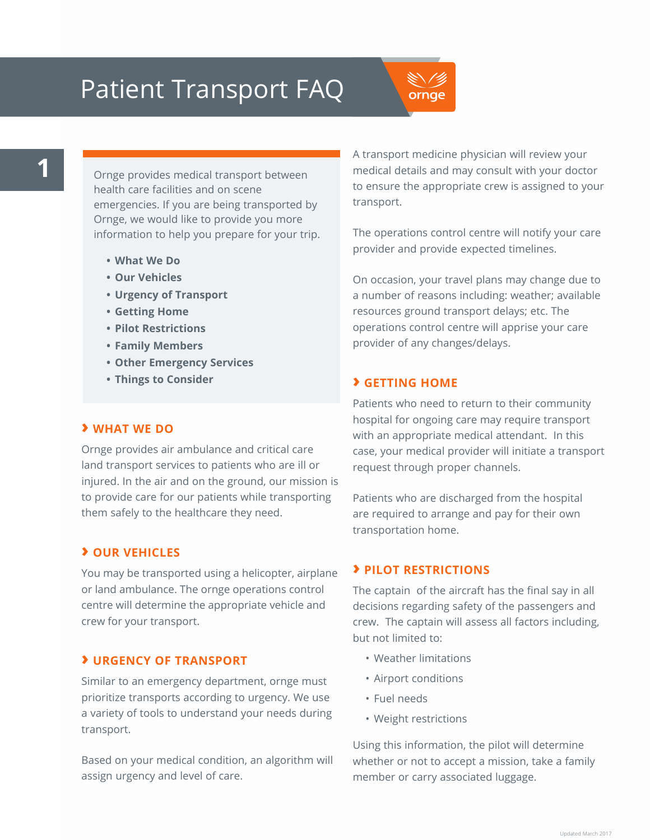# Patient Transport FAQ

ornae

Ornge provides medical transport between health care facilities and on scene emergencies. If you are being transported by Ornge, we would like to provide you more information to help you prepare for your trip.

- **• What We Do**
- **• Our Vehicles**
- **• Urgency of Transport**
- **• Getting Home**
- **• Pilot Restrictions**
- **• Family Members**
- **• Other Emergency Services**
- **• Things to Consider**

#### **› WHAT WE DO**

Ornge provides air ambulance and critical care land transport services to patients who are ill or injured. In the air and on the ground, our mission is to provide care for our patients while transporting them safely to the healthcare they need.

# **› OUR VEHICLES**

You may be transported using a helicopter, airplane or land ambulance. The ornge operations control centre will determine the appropriate vehicle and crew for your transport.

## **› URGENCY OF TRANSPORT**

Similar to an emergency department, ornge must prioritize transports according to urgency. We use a variety of tools to understand your needs during transport.

Based on your medical condition, an algorithm will assign urgency and level of care.

A transport medicine physician will review your medical details and may consult with your doctor to ensure the appropriate crew is assigned to your transport.

The operations control centre will notify your care provider and provide expected timelines.

On occasion, your travel plans may change due to a number of reasons including: weather; available resources ground transport delays; etc. The operations control centre will apprise your care provider of any changes/delays.

## **› GETTING HOME**

Patients who need to return to their community hospital for ongoing care may require transport with an appropriate medical attendant. In this case, your medical provider will initiate a transport request through proper channels.

Patients who are discharged from the hospital are required to arrange and pay for their own transportation home.

#### **› PILOT RESTRICTIONS**

The captain of the aircraft has the final say in all decisions regarding safety of the passengers and crew. The captain will assess all factors including, but not limited to:

- • Weather limitations
- • Airport conditions
- • Fuel needs
- • Weight restrictions

Using this information, the pilot will determine whether or not to accept a mission, take a family member or carry associated luggage.